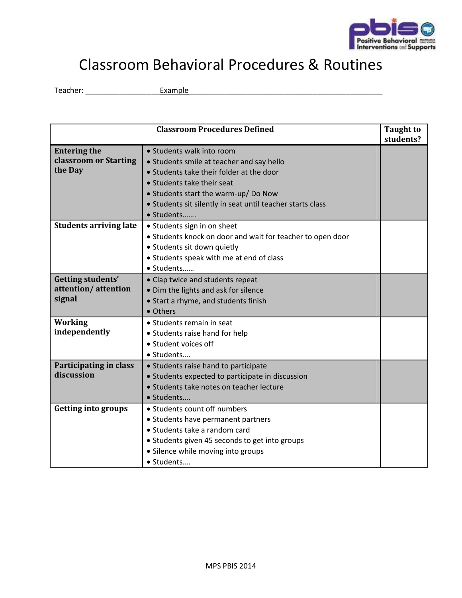

## Classroom Behavioral Procedures & Routines

Teacher: \_\_\_\_\_\_\_\_\_\_\_\_\_\_\_\_\_\_Example\_\_\_\_\_\_\_\_\_\_\_\_\_\_\_\_\_\_\_\_\_\_\_\_\_\_\_\_\_\_\_\_\_\_\_\_\_\_\_\_\_\_\_\_\_\_\_

| <b>Classroom Procedures Defined</b> |                                                            | <b>Taught to</b><br>students? |
|-------------------------------------|------------------------------------------------------------|-------------------------------|
|                                     |                                                            |                               |
| <b>Entering the</b>                 | • Students walk into room                                  |                               |
| classroom or Starting               | • Students smile at teacher and say hello                  |                               |
| the Day                             | • Students take their folder at the door                   |                               |
|                                     | • Students take their seat                                 |                               |
|                                     | • Students start the warm-up/ Do Now                       |                               |
|                                     | • Students sit silently in seat until teacher starts class |                               |
|                                     | · Students                                                 |                               |
| <b>Students arriving late</b>       | • Students sign in on sheet                                |                               |
|                                     | • Students knock on door and wait for teacher to open door |                               |
|                                     | • Students sit down quietly                                |                               |
|                                     | • Students speak with me at end of class                   |                               |
|                                     | · Students                                                 |                               |
| <b>Getting students'</b>            | • Clap twice and students repeat                           |                               |
| attention/attention                 | • Dim the lights and ask for silence                       |                               |
| signal                              | • Start a rhyme, and students finish                       |                               |
|                                     | • Others                                                   |                               |
| <b>Working</b>                      | • Students remain in seat                                  |                               |
| independently                       | • Students raise hand for help                             |                               |
|                                     | • Student voices off                                       |                               |
|                                     | · Students                                                 |                               |
| Participating in class              | • Students raise hand to participate                       |                               |
| discussion                          | • Students expected to participate in discussion           |                               |
|                                     | • Students take notes on teacher lecture                   |                               |
|                                     | · Students                                                 |                               |
| <b>Getting into groups</b>          | • Students count off numbers                               |                               |
|                                     | • Students have permanent partners                         |                               |
|                                     | • Students take a random card                              |                               |
|                                     | • Students given 45 seconds to get into groups             |                               |
|                                     | • Silence while moving into groups                         |                               |
|                                     | • Students                                                 |                               |